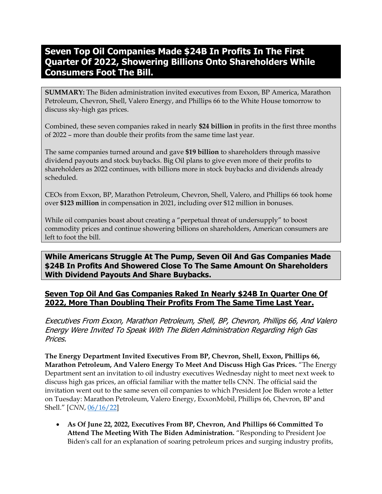# **Seven Top Oil Companies Made \$24B In Profits In The First Quarter Of 2022, Showering Billions Onto Shareholders While Consumers Foot The Bill.**

**SUMMARY:** The Biden administration invited executives from Exxon, BP America, Marathon Petroleum, Chevron, Shell, Valero Energy, and Phillips 66 to the White House tomorrow to discuss sky-high gas prices.

Combined, these seven companies raked in nearly **\$24 billion** in profits in the first three months of 2022 – more than double their profits from the same time last year.

The same companies turned around and gave **\$19 billion** to shareholders through massive dividend payouts and stock buybacks. Big Oil plans to give even more of their profits to shareholders as 2022 continues, with billions more in stock buybacks and dividends already scheduled.

CEOs from Exxon, BP, Marathon Petroleum, Chevron, Shell, Valero, and Phillips 66 took home over **\$123 million** in compensation in 2021, including over \$12 million in bonuses.

While oil companies boast about creating a "perpetual threat of undersupply" to boost commodity prices and continue showering billions on shareholders, American consumers are left to foot the bill.

**While Americans Struggle At The Pump, Seven Oil And Gas Companies Made \$24B In Profits And Showered Close To The Same Amount On Shareholders With Dividend Payouts And Share Buybacks.**

# **Seven Top Oil And Gas Companies Raked In Nearly \$24B In Quarter One Of 2022, More Than Doubling Their Profits From The Same Time Last Year.**

Executives From Exxon, Marathon Petroleum, Shell, BP, Chevron, Phillips 66, And Valero Energy Were Invited To Speak With The Biden Administration Regarding High Gas Prices.

**The Energy Department Invited Executives From BP, Chevron, Shell, Exxon, Phillips 66, Marathon Petroleum, And Valero Energy To Meet And Discuss High Gas Prices.** "The Energy Department sent an invitation to oil industry executives Wednesday night to meet next week to discuss high gas prices, an official familiar with the matter tells CNN. The official said the invitation went out to the same seven oil companies to which President Joe Biden wrote a letter on Tuesday: Marathon Petroleum, Valero Energy, ExxonMobil, Phillips 66, Chevron, BP and Shell." [*CNN*, [06/16/22\]](https://www.cnn.com/2022/06/16/politics/biden-oil-ceos/index.html)

• **As Of June 22, 2022, Executives From BP, Chevron, And Phillips 66 Committed To Attend The Meeting With The Biden Administration.** "Responding to President Joe Biden's call for an explanation of soaring petroleum prices and surging industry profits,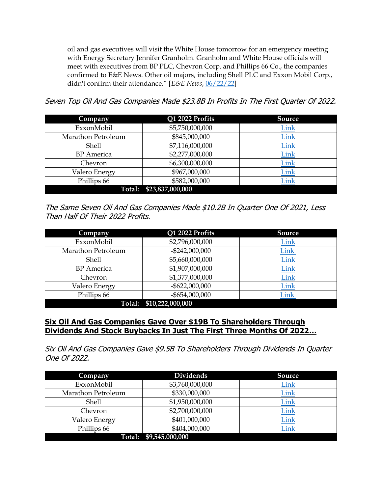oil and gas executives will visit the White House tomorrow for an emergency meeting with Energy Secretary Jennifer Granholm. Granholm and White House officials will meet with executives from BP PLC, Chevron Corp. and Phillips 66 Co., the companies confirmed to E&E News. Other oil majors, including Shell PLC and Exxon Mobil Corp., didn't confirm their attendance." [*E&E News*, [06/22/22\]](https://go.politicoemail.com/?qs=0766170088d96c6a639807ed6082ecb5df289e223362951443df58a094b9df6258b59412a1073734aa2806f5d5162125f34d73a07d3ef9a7)

Seven Top Oil And Gas Companies Made \$23.8B In Profits In The First Quarter Of 2022.

| Company            | Q1 2022 Profits         | <b>Source</b> |  |
|--------------------|-------------------------|---------------|--|
| ExxonMobil         | \$5,750,000,000         | Link          |  |
| Marathon Petroleum | \$845,000,000           | <b>Link</b>   |  |
| <b>Shell</b>       | \$7,116,000,000         | Link          |  |
| <b>BP</b> America  | \$2,277,000,000         | Link          |  |
| Chevron            | \$6,300,000,000         | Link          |  |
| Valero Energy      | \$967,000,000           | Link          |  |
| Phillips 66        | \$582,000,000           | Link          |  |
|                    | Total: \$23,837,000,000 |               |  |

The Same Seven Oil And Gas Companies Made \$10.2B In Quarter One Of 2021, Less Than Half Of Their 2022 Profits.

| Company            | Q1 2022 Profits         | <b>Source</b> |  |
|--------------------|-------------------------|---------------|--|
| ExxonMobil         | \$2,796,000,000         | Link          |  |
| Marathon Petroleum | $-$ \$242,000,000       | Link          |  |
| <b>Shell</b>       | \$5,660,000,000         | Link          |  |
| <b>BP</b> America  | \$1,907,000,000         | Link          |  |
| Chevron            | \$1,377,000,000         | Link          |  |
| Valero Energy      | $-$ \$622,000,000       | Link          |  |
| Phillips 66        | $-$ \$654,000,000       | Link          |  |
|                    | Total: \$10,222,000,000 |               |  |

# **Six Oil And Gas Companies Gave Over \$19B To Shareholders Through Dividends And Stock Buybacks In Just The First Three Months Of 2022…**

Six Oil And Gas Companies Gave \$9.5B To Shareholders Through Dividends In Quarter One Of 2022.

| Company            | <b>Dividends</b>       | <b>Source</b> |  |
|--------------------|------------------------|---------------|--|
| ExxonMobil         | \$3,760,000,000        | Link          |  |
| Marathon Petroleum | \$330,000,000          | Link          |  |
| <b>Shell</b>       | \$1,950,000,000        | Link          |  |
| Chevron            | \$2,700,000,000        | Link          |  |
| Valero Energy      | \$401,000,000          | Link          |  |
| Phillips 66        | \$404,000,000          | Link          |  |
|                    | Total: \$9,545,000,000 |               |  |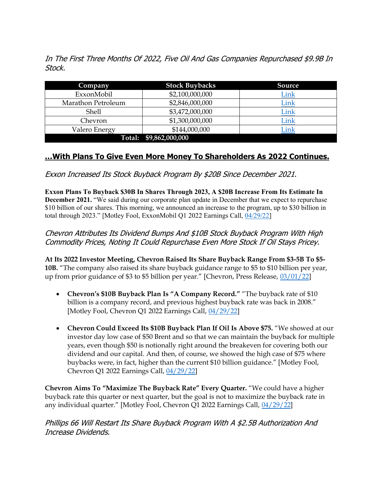In The First Three Months Of 2022, Five Oil And Gas Companies Repurchased \$9.9B In Stock.

| <b>Company</b>     | <b>Stock Buybacks</b>  | Source      |  |
|--------------------|------------------------|-------------|--|
| ExxonMobil         | \$2,100,000,000        | Link        |  |
| Marathon Petroleum | \$2,846,000,000        | Link        |  |
| <b>Shell</b>       | \$3,472,000,000        | <u>Link</u> |  |
| Chevron            | \$1,300,000,000        | Link        |  |
| Valero Energy      | \$144,000,000          | Link        |  |
|                    | Total: \$9,862,000,000 |             |  |

# **…With Plans To Give Even More Money To Shareholders As 2022 Continues.**

Exxon Increased Its Stock Buyback Program By \$20B Since December 2021.

**Exxon Plans To Buyback \$30B In Shares Through 2023, A \$20B Increase From Its Estimate In December 2021.** "We said during our corporate plan update in December that we expect to repurchase \$10 billion of our shares. This morning, we announced an increase to the program, up to \$30 billion in total through 2023." [Motley Fool, ExxonMobil Q1 2022 Earnings Call, [04/29/22\]](https://www.fool.com/earnings/call-transcripts/2022/04/29/exxonmobil-xom-q1-2022-earnings-call-transcript/)

## Chevron Attributes Its Dividend Bumps And \$10B Stock Buyback Program With High Commodity Prices, Noting It Could Repurchase Even More Stock If Oil Stays Pricey.

**At Its 2022 Investor Meeting, Chevron Raised Its Share Buyback Range From \$3-5B To \$5- 10B.** "The company also raised its share buyback guidance range to \$5 to \$10 billion per year, up from prior guidance of \$3 to \$5 billion per year." [Chevron, Press Release, [03/01/22\]](https://www.chevron.com/stories/chevron-executing-plans-to-deliver-higher-returns-and-lower-carbon)

- **Chevron's \$10B Buyback Plan Is "A Company Record."** "The buyback rate of \$10 billion is a company record, and previous highest buyback rate was back in 2008." [Motley Fool, Chevron Q1 2022 Earnings Call, [04/29/22\]](https://www.fool.com/earnings/call-transcripts/2022/04/29/chevron-cvx-q1-2022-earnings-call-transcript/)
- **Chevron Could Exceed Its \$10B Buyback Plan If Oil Is Above \$75.** "We showed at our investor day low case of \$50 Brent and so that we can maintain the buyback for multiple years, even though \$50 is notionally right around the breakeven for covering both our dividend and our capital. And then, of course, we showed the high case of \$75 where buybacks were, in fact, higher than the current \$10 billion guidance." [Motley Fool, Chevron Q1 2022 Earnings Call, [04/29/22\]](https://www.fool.com/earnings/call-transcripts/2022/04/29/chevron-cvx-q1-2022-earnings-call-transcript/)

**Chevron Aims To "Maximize The Buyback Rate" Every Quarter.** "We could have a higher buyback rate this quarter or next quarter, but the goal is not to maximize the buyback rate in any individual quarter." [Motley Fool, Chevron Q1 2022 Earnings Call, [04/29/22\]](https://www.fool.com/earnings/call-transcripts/2022/04/29/chevron-cvx-q1-2022-earnings-call-transcript/)

Phillips 66 Will Restart Its Share Buyback Program With A \$2.5B Authorization And Increase Dividends.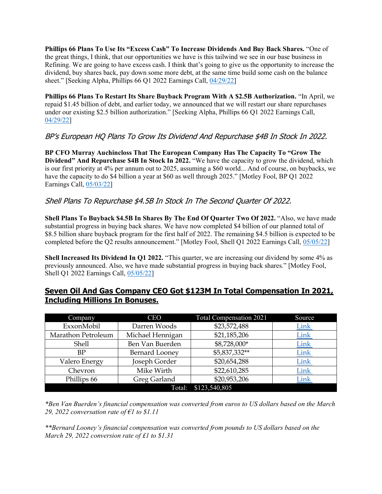**Phillips 66 Plans To Use Its "Excess Cash" To Increase Dividends And Buy Back Shares.** "One of the great things, I think, that our opportunities we have is this tailwind we see in our base business in Refining. We are going to have excess cash. I think that's going to give us the opportunity to increase the dividend, buy shares back, pay down some more debt, at the same time build some cash on the balance sheet." [Seeking Alpha, Phillips 66 Q1 2022 Earnings Call, [04/29/22\]](https://seekingalpha.com/article/4505340-phillips-66s-psx-ceo-greg-garland-on-q1-2022-results-earnings-call-transcript)

**Phillips 66 Plans To Restart Its Share Buyback Program With A \$2.5B Authorization.** "In April, we repaid \$1.45 billion of debt, and earlier today, we announced that we will restart our share repurchases under our existing \$2.5 billion authorization." [Seeking Alpha, Phillips 66 Q1 2022 Earnings Call, [04/29/22\]](https://seekingalpha.com/article/4505340-phillips-66s-psx-ceo-greg-garland-on-q1-2022-results-earnings-call-transcript)

# BP's European HQ Plans To Grow Its Dividend And Repurchase \$4B In Stock In 2022.

**BP CFO Murray Auchincloss That The European Company Has The Capacity To "Grow The Dividend" And Repurchase \$4B In Stock In 2022.** "We have the capacity to grow the dividend, which is our first priority at 4% per annum out to 2025, assuming a \$60 world... And of course, on buybacks, we have the capacity to do \$4 billion a year at \$60 as well through 2025." [Motley Fool, BP Q1 2022] Earnings Call, [05/03/22\]](https://www.fool.com/earnings/call-transcripts/2022/05/03/bp-bp-q1-2022-earnings-call-transcript/)

#### Shell Plans To Repurchase \$4.5B In Stock In The Second Quarter Of 2022.

**Shell Plans To Buyback \$4.5B In Shares By The End Of Quarter Two Of 2022.** "Also, we have made substantial progress in buying back shares. We have now completed \$4 billion of our planned total of \$8.5 billion share buyback program for the first half of 2022. The remaining \$4.5 billion is expected to be completed before the Q2 results announcement." [Motley Fool, Shell Q1 2022 Earnings Call, [05/05/22\]](https://www.fool.com/earnings/call-transcripts/2022/05/07/royal-dutch-shell-a-shares-rdsa-q1-2022-earnings-c/)

**Shell Increased Its Dividend In Q1 2022.** "This quarter, we are increasing our dividend by some 4% as previously announced. Also, we have made substantial progress in buying back shares." [Motley Fool, Shell Q1 2022 Earnings Call, [05/05/22\]](https://www.fool.com/earnings/call-transcripts/2022/05/07/royal-dutch-shell-a-shares-rdsa-q1-2022-earnings-c/)

### **Seven Oil And Gas Company CEO Got \$123M In Total Compensation In 2021, Including Millions In Bonuses.**

| Company            | <b>CEO</b>            | Total Compensation 2021 | Source |
|--------------------|-----------------------|-------------------------|--------|
| ExxonMobil         | Darren Woods          | \$23,572,488            | Link   |
| Marathon Petroleum | Michael Hennigan      | \$21,185,206            | Link   |
| Shell              | Ben Van Buerden       | \$8,728,000*            | Link   |
| BP                 | <b>Bernard Looney</b> | \$5,837,332**           | Link   |
| Valero Energy      | Joseph Gorder         | \$20,654,288            | Link   |
| Chevron            | Mike Wirth            | \$22,610,285            | Link   |
| Phillips 66        | Greg Garland          | \$20,953,206            | Link   |
|                    | Total:                | \$123,540,805           |        |

*\*Ben Van Buerden's financial compensation was converted from euros to US dollars based on the March 29, 2022 conversation rate of €1 to \$1.11*

*\*\*Bernard Looney's financial compensation was converted from pounds to US dollars based on the March 29, 2022 conversion rate of £1 to \$1.31*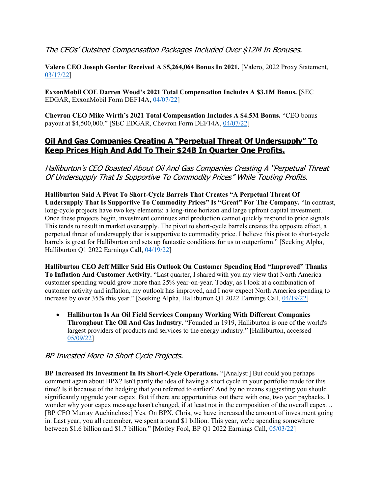#### The CEOs' Outsized Compensation Packages Included Over \$12M In Bonuses.

Valero CEO Joseph Gorder Received A \$5,264,064 Bonus In 2021. [Valero, 2022 Proxy Statement, [03/17/22\]](https://s23.q4cdn.com/587626645/files/doc_financials/2022/ar/Valero-2022-Proxy-and-10-K-Combo-Book.pdf)

**ExxonMobil COE Darren Wood's 2021 Total Compensation Includes A \$3.1M Bonus.** [SEC EDGAR, ExxonMobil Form DEF14A, [04/07/22\]](https://www.sec.gov/Archives/edgar/data/34088/000119312522098314/d280259ddef14a.htm#toc280259_15)

**Chevron CEO Mike Wirth's 2021 Total Compensation Includes A \$4.5M Bonus.** "CEO bonus payout at \$4,500,000." [SEC EDGAR, Chevron Form DEF14A, [04/07/22\]](https://www.sec.gov/Archives/edgar/data/93410/000119312522098301/d292137ddef14a.htm#toc292137_42)

## **Oil And Gas Companies Creating A "Perpetual Threat Of Undersupply" To Keep Prices High And Add To Their \$24B In Quarter One Profits.**

Halliburton's CEO Boasted About Oil And Gas Companies Creating A "Perpetual Threat Of Undersupply That Is Supportive To Commodity Prices" While Touting Profits.

**Halliburton Said A Pivot To Short-Cycle Barrels That Creates "A Perpetual Threat Of Undersupply That Is Supportive To Commodity Prices" Is "Great" For The Company.** "In contrast, long-cycle projects have two key elements: a long-time horizon and large upfront capital investment. Once these projects begin, investment continues and production cannot quickly respond to price signals. This tends to result in market oversupply. The pivot to short-cycle barrels creates the opposite effect, a perpetual threat of undersupply that is supportive to commodity price. I believe this pivot to short-cycle barrels is great for Halliburton and sets up fantastic conditions for us to outperform." [Seeking Alpha, Halliburton Q1 2022 Earnings Call, [04/19/22\]](https://seekingalpha.com/article/4502136-halliburton-company-hal-ceo-jeff-miller-on-q1-2022-results-earnings-call-transcript)

**Halliburton CEO Jeff Miller Said His Outlook On Customer Spending Had "Improved" Thanks To Inflation And Customer Activity.** "Last quarter, I shared with you my view that North America customer spending would grow more than 25% year-on-year. Today, as I look at a combination of customer activity and inflation, my outlook has improved, and I now expect North America spending to increase by over 35% this year." [Seeking Alpha, Halliburton Q1 2022 Earnings Call, [04/19/22\]](https://seekingalpha.com/article/4502136-halliburton-company-hal-ceo-jeff-miller-on-q1-2022-results-earnings-call-transcript)

• **Halliburton Is An Oil Field Services Company Working With Different Companies Throughout The Oil And Gas Industry.** "Founded in 1919, Halliburton is one of the world's largest providers of products and services to the energy industry." [Halliburton, accessed [05/09/22\]](https://www.halliburton.com/en/about-us)

# BP Invested More In Short Cycle Projects.

**BP Increased Its Investment In Its Short-Cycle Operations.** "[Analyst:] But could you perhaps comment again about BPX? Isn't partly the idea of having a short cycle in your portfolio made for this time? Is it because of the hedging that you referred to earlier? And by no means suggesting you should significantly upgrade your capex. But if there are opportunities out there with one, two year paybacks, I wonder why your capex message hasn't changed, if at least not in the composition of the overall capex… [BP CFO Murray Auchincloss:] Yes. On BPX, Chris, we have increased the amount of investment going in. Last year, you all remember, we spent around \$1 billion. This year, we're spending somewhere between \$1.6 billion and \$1.7 billion." [Motley Fool, BP Q1 2022 Earnings Call, [05/03/22\]](https://www.fool.com/earnings/call-transcripts/2022/05/03/bp-bp-q1-2022-earnings-call-transcript/)